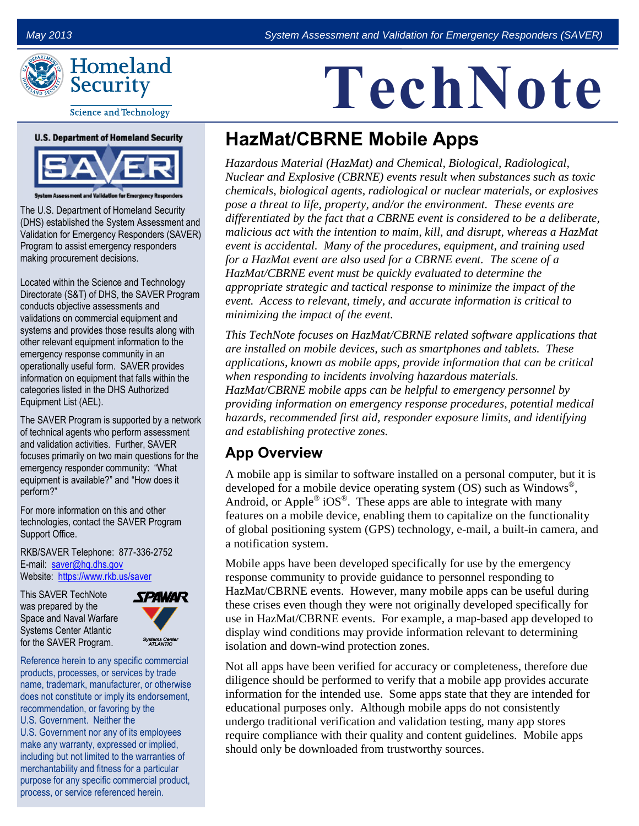

**Science and Technology** 

#### **U.S. Department of Homeland Security**



m Assessment and Validation for Emergency Res

The U.S. Department of Homeland Security (DHS) established the System Assessment and Validation for Emergency Responders (SAVER) Program to assist emergency responders making procurement decisions.

Located within the Science and Technology Directorate (S&T) of DHS, the SAVER Program conducts objective assessments and validations on commercial equipment and systems and provides those results along with other relevant equipment information to the emergency response community in an operationally useful form. SAVER provides information on equipment that falls within the categories listed in the DHS Authorized Equipment List (AEL).

The SAVER Program is supported by a network of technical agents who perform assessment and validation activities. Further, SAVER focuses primarily on two main questions for the emergency responder community: "What equipment is available?" and "How does it perform?"

For more information on this and other technologies, contact the SAVER Program Support Office.

RKB/SAVER Telephone: 877-336-2752 E-mail: [saver@hq.dhs.gov](mailto:saver@dhs.gov) Website: <https://www.rkb.us/saver>

This SAVER TechNote was prepared by the Space and Naval Warfare Systems Center Atlantic for the SAVER Program.



Reference herein to any specific commercial products, processes, or services by trade name, trademark, manufacturer, or otherwise does not constitute or imply its endorsement, recommendation, or favoring by the U.S. Government. Neither the U.S. Government nor any of its employees make any warranty, expressed or implied, including but not limited to the warranties of merchantability and fitness for a particular purpose for any specific commercial product, process, or service referenced herein.

# **TechNote**

# **HazMat/CBRNE Mobile Apps**

*Hazardous Material (HazMat) and Chemical, Biological, Radiological, Nuclear and Explosive (CBRNE) events result when substances such as toxic chemicals, biological agents, radiological or nuclear materials, or explosives pose a threat to life, property, and/or the environment. These events are differentiated by the fact that a CBRNE event is considered to be a deliberate, malicious act with the intention to maim, kill, and disrupt, whereas a HazMat event is accidental. Many of the procedures, equipment, and training used for a HazMat event are also used for a CBRNE event. The scene of a HazMat/CBRNE event must be quickly evaluated to determine the appropriate strategic and tactical response to minimize the impact of the event. Access to relevant, timely, and accurate information is critical to minimizing the impact of the event.*

*This TechNote focuses on HazMat/CBRNE related software applications that are installed on mobile devices, such as smartphones and tablets. These applications, known as mobile apps, provide information that can be critical when responding to incidents involving hazardous materials. HazMat/CBRNE mobile apps can be helpful to emergency personnel by providing information on emergency response procedures, potential medical hazards, recommended first aid, responder exposure limits, and identifying and establishing protective zones.* 

#### **App Overview**

A mobile app is similar to software installed on a personal computer, but it is developed for a mobile device operating system  $\overline{OS}$ ) such as Windows<sup>®</sup>, Android, or Apple<sup>®</sup> iOS<sup>®</sup>. These apps are able to integrate with many features on a mobile device, enabling them to capitalize on the functionality of global positioning system (GPS) technology, e-mail, a built-in camera, and a notification system.

Mobile apps have been developed specifically for use by the emergency response community to provide guidance to personnel responding to HazMat/CBRNE events. However, many mobile apps can be useful during these crises even though they were not originally developed specifically for use in HazMat/CBRNE events. For example, a map-based app developed to display wind conditions may provide information relevant to determining isolation and down-wind protection zones.

Not all apps have been verified for accuracy or completeness, therefore due diligence should be performed to verify that a mobile app provides accurate information for the intended use. Some apps state that they are intended for educational purposes only. Although mobile apps do not consistently undergo traditional verification and validation testing, many app stores require compliance with their quality and content guidelines. Mobile apps should only be downloaded from trustworthy sources.